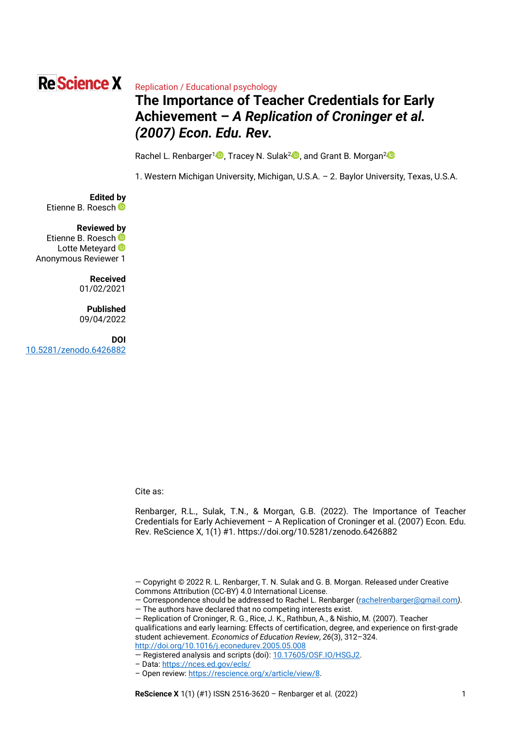# **Re Science X**

### Replication / Educational psychology

# **The Importance of Teacher Credentials for Early Achievement –** *A Replication of Croninger et al. (2007) Econ. Edu. Rev.*

Rachel L. Renbarger<sup>1[,](https://orcid.org/0000-0002-3077-4643) 1</sup>, Tracey N. Sulak<sup>2, 1</sup>, and Grant B. Morgan<sup>2</sup><sup>1</sup>

1. Western Michigan University, Michigan, U.S.A. – 2. Baylor University, Texas, U.S.A.

**Edited by** EtienneB. Roesch

#### **Reviewed by**

EtienneB. Roesch LotteMeteyard **D** Anonymous Reviewer 1

> **Received** 01/02/2021

#### **Published** 09/04/2022

**DOI** [10.5281/zenodo.6426882](https://doi.org/10.5281/zenodo.6426882)

Cite as:

Renbarger, R.L., Sulak, T.N., & Morgan, G.B. (2022). The Importance of Teacher Credentials for Early Achievement – A Replication of Croninger et al. (2007) Econ. Edu. Rev. ReScience X, 1(1) #1. https://doi.org/10.5281/zenodo.6426882

qualifications and early learning: Effects of certification, degree, and experience on first-grade student achievement. *Economics of Education Review*, *26*(3), 312–324. <http://doi.org/10.1016/j.econedurev.2005.05.008>

– Data[: https://nces.ed.gov/ecls/](https://nces.ed.gov/ecls/)

<sup>—</sup> Copyright © 2022 R. L. Renbarger, T. N. Sulak and G. B. Morgan. Released under Creative Commons Attribution (CC-BY) 4.0 International License.

<sup>—</sup> Correspondence should be addressed to Rachel L. Renbarger [\(rachelrenbarger@gmail.com](mailto:rachelrenbarger@gmail.com)*)*. — The authors have declared that no competing interests exist.

<sup>—</sup> Replication of Croninger, R. G., Rice, J. K., Rathbun, A., & Nishio, M. (2007). Teacher

<sup>—</sup> Registered analysis and scripts (doi): [10.17605/OSF.IO/HSGJ2.](https://doi.org/10.17605/OSF.IO/HSGJ2)

<sup>–</sup> Open review[: https://rescience.org/x/article/view/8.](https://rescience.org/x/article/view/8)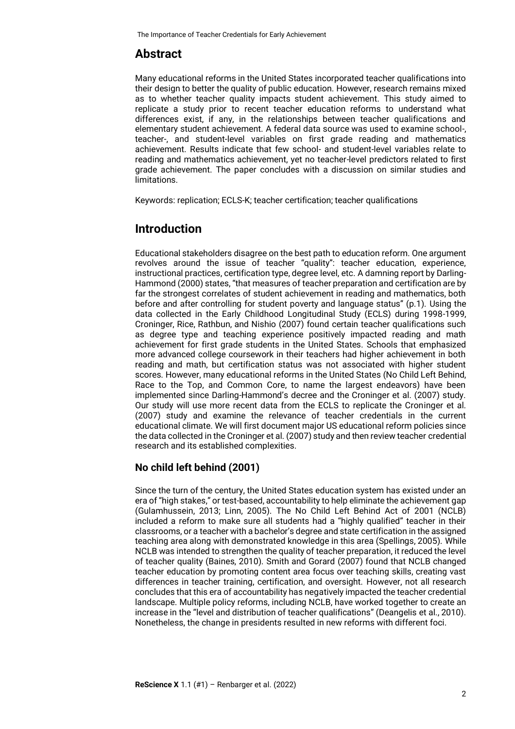# **Abstract**

Many educational reforms in the United States incorporated teacher qualifications into their design to better the quality of public education. However, research remains mixed as to whether teacher quality impacts student achievement. This study aimed to replicate a study prior to recent teacher education reforms to understand what differences exist, if any, in the relationships between teacher qualifications and elementary student achievement. A federal data source was used to examine school-, teacher-, and student-level variables on first grade reading and mathematics achievement. Results indicate that few school- and student-level variables relate to reading and mathematics achievement, yet no teacher-level predictors related to first grade achievement. The paper concludes with a discussion on similar studies and limitations.

Keywords: replication; ECLS-K; teacher certification; teacher qualifications

# **Introduction**

Educational stakeholders disagree on the best path to education reform. One argument revolves around the issue of teacher "quality": teacher education, experience, instructional practices, certification type, degree level, etc. A damning report by Darling-Hammond (2000) states, "that measures of teacher preparation and certification are by far the strongest correlates of student achievement in reading and mathematics, both before and after controlling for student poverty and language status" (p.1). Using the data collected in the Early Childhood Longitudinal Study (ECLS) during 1998-1999, Croninger, Rice, Rathbun, and Nishio (2007) found certain teacher qualifications such as degree type and teaching experience positively impacted reading and math achievement for first grade students in the United States. Schools that emphasized more advanced college coursework in their teachers had higher achievement in both reading and math, but certification status was not associated with higher student scores. However, many educational reforms in the United States (No Child Left Behind, Race to the Top, and Common Core, to name the largest endeavors) have been implemented since Darling-Hammond's decree and the Croninger et al. (2007) study. Our study will use more recent data from the ECLS to replicate the Croninger et al. (2007) study and examine the relevance of teacher credentials in the current educational climate. We will first document major US educational reform policies since the data collected in the Croninger et al. (2007) study and then review teacher credential research and its established complexities.

# **No child left behind (2001)**

Since the turn of the century, the United States education system has existed under an era of "high stakes," or test-based, accountability to help eliminate the achievement gap (Gulamhussein, 2013; Linn, 2005). The No Child Left Behind Act of 2001 (NCLB) included a reform to make sure all students had a "highly qualified" teacher in their classrooms, or a teacher with a bachelor's degree and state certification in the assigned teaching area along with demonstrated knowledge in this area (Spellings, 2005). While NCLB was intended to strengthen the quality of teacher preparation, it reduced the level of teacher quality (Baines, 2010). Smith and Gorard (2007) found that NCLB changed teacher education by promoting content area focus over teaching skills, creating vast differences in teacher training, certification, and oversight. However, not all research concludes that this era of accountability has negatively impacted the teacher credential landscape. Multiple policy reforms, including NCLB, have worked together to create an increase in the "level and distribution of teacher qualifications" (Deangelis et al., 2010). Nonetheless, the change in presidents resulted in new reforms with different foci.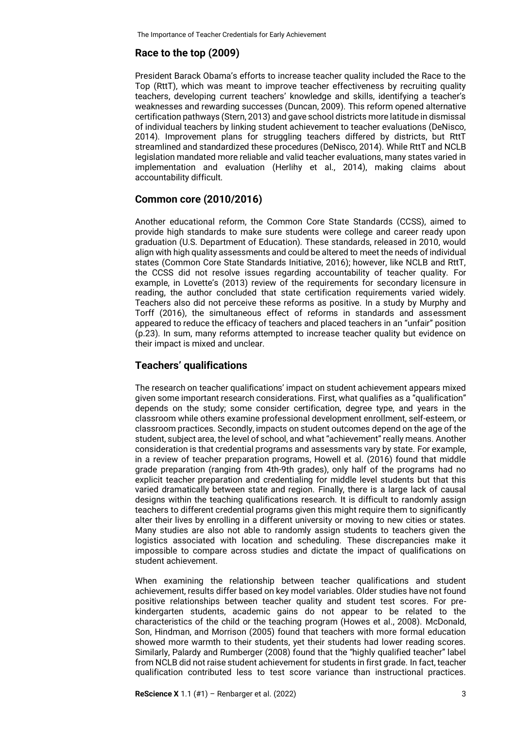# **Race to the top (2009)**

President Barack Obama's efforts to increase teacher quality included the Race to the Top (RttT), which was meant to improve teacher effectiveness by recruiting quality teachers, developing current teachers' knowledge and skills, identifying a teacher's weaknesses and rewarding successes (Duncan, 2009). This reform opened alternative certification pathways (Stern, 2013) and gave school districts more latitude in dismissal of individual teachers by linking student achievement to teacher evaluations (DeNisco, 2014). Improvement plans for struggling teachers differed by districts, but RttT streamlined and standardized these procedures (DeNisco, 2014). While RttT and NCLB legislation mandated more reliable and valid teacher evaluations, many states varied in implementation and evaluation (Herlihy et al., 2014), making claims about accountability difficult.

# **Common core (2010/2016)**

Another educational reform, the Common Core State Standards (CCSS), aimed to provide high standards to make sure students were college and career ready upon graduation (U.S. Department of Education). These standards, released in 2010, would align with high quality assessments and could be altered to meet the needs of individual states (Common Core State Standards Initiative, 2016); however, like NCLB and RttT, the CCSS did not resolve issues regarding accountability of teacher quality. For example, in Lovette's (2013) review of the requirements for secondary licensure in reading, the author concluded that state certification requirements varied widely. Teachers also did not perceive these reforms as positive. In a study by Murphy and Torff (2016), the simultaneous effect of reforms in standards and assessment appeared to reduce the efficacy of teachers and placed teachers in an "unfair" position (p.23). In sum, many reforms attempted to increase teacher quality but evidence on their impact is mixed and unclear.

#### **Teachers' qualifications**

The research on teacher qualifications' impact on student achievement appears mixed given some important research considerations. First, what qualifies as a "qualification" depends on the study; some consider certification, degree type, and years in the classroom while others examine professional development enrollment, self-esteem, or classroom practices. Secondly, impacts on student outcomes depend on the age of the student, subject area, the level of school, and what "achievement" really means. Another consideration is that credential programs and assessments vary by state. For example, in a review of teacher preparation programs, Howell et al. (2016) found that middle grade preparation (ranging from 4th-9th grades), only half of the programs had no explicit teacher preparation and credentialing for middle level students but that this varied dramatically between state and region. Finally, there is a large lack of causal designs within the teaching qualifications research. It is difficult to randomly assign teachers to different credential programs given this might require them to significantly alter their lives by enrolling in a different university or moving to new cities or states. Many studies are also not able to randomly assign students to teachers given the logistics associated with location and scheduling. These discrepancies make it impossible to compare across studies and dictate the impact of qualifications on student achievement.

When examining the relationship between teacher qualifications and student achievement, results differ based on key model variables. Older studies have not found positive relationships between teacher quality and student test scores. For prekindergarten students, academic gains do not appear to be related to the characteristics of the child or the teaching program (Howes et al., 2008). McDonald, Son, Hindman, and Morrison (2005) found that teachers with more formal education showed more warmth to their students, yet their students had lower reading scores. Similarly, Palardy and Rumberger (2008) found that the "highly qualified teacher" label from NCLB did not raise student achievement for students in first grade. In fact, teacher qualification contributed less to test score variance than instructional practices.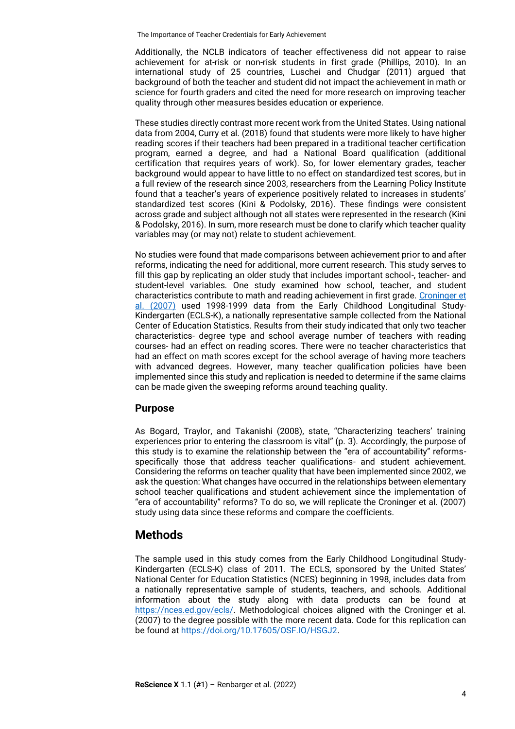Additionally, the NCLB indicators of teacher effectiveness did not appear to raise achievement for at-risk or non-risk students in first grade (Phillips, 2010). In an international study of 25 countries, Luschei and Chudgar (2011) argued that background of both the teacher and student did not impact the achievement in math or science for fourth graders and cited the need for more research on improving teacher quality through other measures besides education or experience.

These studies directly contrast more recent work from the United States. Using national data from 2004, Curry et al. (2018) found that students were more likely to have higher reading scores if their teachers had been prepared in a traditional teacher certification program, earned a degree, and had a National Board qualification (additional certification that requires years of work). So, for lower elementary grades, teacher background would appear to have little to no effect on standardized test scores, but in a full review of the research since 2003, researchers from the Learning Policy Institute found that a teacher's years of experience positively related to increases in students' standardized test scores (Kini & Podolsky, 2016). These findings were consistent across grade and subject although not all states were represented in the research (Kini & Podolsky, 2016). In sum, more research must be done to clarify which teacher quality variables may (or may not) relate to student achievement.

No studies were found that made comparisons between achievement prior to and after reforms, indicating the need for additional, more current research. This study serves to fill this gap by replicating an older study that includes important school-, teacher- and student-level variables. One study examined how school, teacher, and student characteristics contribute to math and reading achievement in first grade. [Croninger et](https://www.sciencedirect.com/science/article/abs/pii/S0272775706000306)  [al. \(2007\)](https://www.sciencedirect.com/science/article/abs/pii/S0272775706000306) used 1998-1999 data from the Early Childhood Longitudinal Study-Kindergarten (ECLS-K), a nationally representative sample collected from the National Center of Education Statistics. Results from their study indicated that only two teacher characteristics- degree type and school average number of teachers with reading courses- had an effect on reading scores. There were no teacher characteristics that had an effect on math scores except for the school average of having more teachers with advanced degrees. However, many teacher qualification policies have been implemented since this study and replication is needed to determine if the same claims can be made given the sweeping reforms around teaching quality.

# **Purpose**

As Bogard, Traylor, and Takanishi (2008), state, "Characterizing teachers' training experiences prior to entering the classroom is vital" (p. 3). Accordingly, the purpose of this study is to examine the relationship between the "era of accountability" reformsspecifically those that address teacher qualifications- and student achievement. Considering the reforms on teacher quality that have been implemented since 2002, we ask the question: What changes have occurred in the relationships between elementary school teacher qualifications and student achievement since the implementation of "era of accountability" reforms? To do so, we will replicate the Croninger et al. (2007) study using data since these reforms and compare the coefficients.

# **Methods**

The sample used in this study comes from the Early Childhood Longitudinal Study-Kindergarten (ECLS-K) class of 2011. The ECLS, sponsored by the United States' National Center for Education Statistics (NCES) beginning in 1998, includes data from a nationally representative sample of students, teachers, and schools. Additional information about the study along with data products can be found at [https://nces.ed.gov/ecls/.](https://nces.ed.gov/ecls/) Methodological choices aligned with the Croninger et al. (2007) to the degree possible with the more recent data. Code for this replication can be found at [https://doi.org/10.17605/OSF.IO/HSGJ2.](https://doi.org/10.17605/OSF.IO/HSGJ2)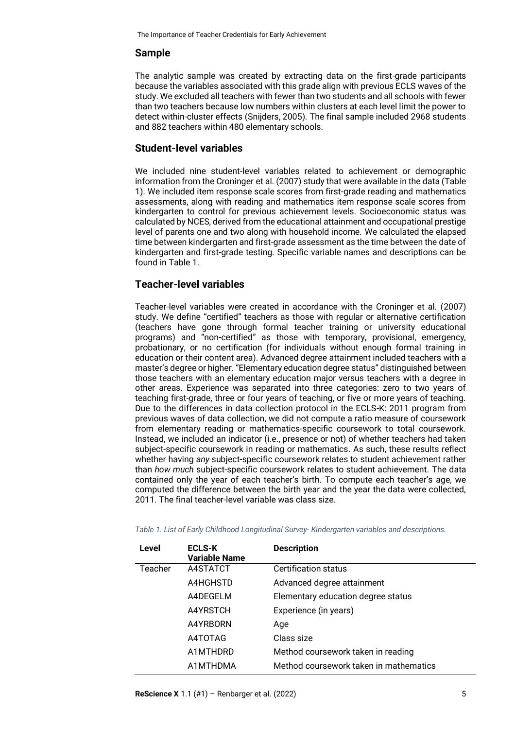# **Sample**

The analytic sample was created by extracting data on the first-grade participants because the variables associated with this grade align with previous ECLS waves of the study. We excluded all teachers with fewer than two students and all schools with fewer than two teachers because low numbers within clusters at each level limit the power to detect within-cluster effects (Snijders, 2005). The final sample included 2968 students and 882 teachers within 480 elementary schools.

#### **Student-level variables**

We included nine student-level variables related to achievement or demographic information from the Croninger et al. (2007) study that were available in the data (Table 1). We included item response scale scores from first-grade reading and mathematics assessments, along with reading and mathematics item response scale scores from kindergarten to control for previous achievement levels. Socioeconomic status was calculated by NCES, derived from the educational attainment and occupational prestige level of parents one and two along with household income. We calculated the elapsed time between kindergarten and first-grade assessment as the time between the date of kindergarten and first-grade testing. Specific variable names and descriptions can be found in Table 1.

# **Teacher-level variables**

Teacher-level variables were created in accordance with the Croninger et al. (2007) study. We define "certified" teachers as those with regular or alternative certification (teachers have gone through formal teacher training or university educational programs) and "non-certified" as those with temporary, provisional, emergency, probationary, or no certification (for individuals without enough formal training in education or their content area). Advanced degree attainment included teachers with a master's degree or higher. "Elementary education degree status" distinguished between those teachers with an elementary education major versus teachers with a degree in other areas. Experience was separated into three categories: zero to two years of teaching first-grade, three or four years of teaching, or five or more years of teaching. Due to the differences in data collection protocol in the ECLS-K: 2011 program from previous waves of data collection, we did not compute a ratio measure of coursework from elementary reading or mathematics-specific coursework to total coursework. Instead, we included an indicator (i.e., presence or not) of whether teachers had taken subject-specific coursework in reading or mathematics. As such, these results reflect whether having *any* subject-specific coursework relates to student achievement rather than *how much* subject-specific coursework relates to student achievement. The data contained only the year of each teacher's birth. To compute each teacher's age, we computed the difference between the birth year and the year the data were collected, 2011. The final teacher-level variable was class size.

| Level   | <b>ECLS-K</b><br><b>Variable Name</b> | <b>Description</b>                     |
|---------|---------------------------------------|----------------------------------------|
| Teacher | A4STATCT                              | Certification status                   |
|         | A4HGHSTD                              | Advanced degree attainment             |
|         | A4DEGELM                              | Elementary education degree status     |
|         | A4YRSTCH                              | Experience (in years)                  |
|         | A4YRBORN                              | Age                                    |
|         | A4TOTAG                               | Class size                             |
|         | A1MTHDRD                              | Method coursework taken in reading     |
|         | A1MTHDMA                              | Method coursework taken in mathematics |

*Table 1. List of Early Childhood Longitudinal Survey- Kindergarten variables and descriptions.*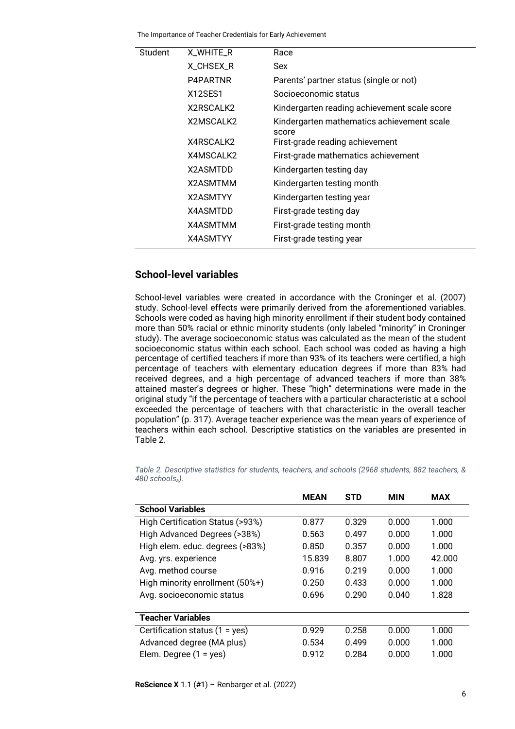| Student | X_WHITE_R       | Race                                                |
|---------|-----------------|-----------------------------------------------------|
|         | X CHSEX R       | Sex                                                 |
|         | P4PARTNR        | Parents' partner status (single or not)             |
|         | X12SES1         | Socioeconomic status                                |
|         | X2RSCALK2       | Kindergarten reading achievement scale score        |
|         | X2MSCALK2       | Kindergarten mathematics achievement scale<br>score |
|         | X4RSCALK2       | First-grade reading achievement                     |
|         | X4MSCALK2       | First-grade mathematics achievement                 |
|         | X2ASMTDD        | Kindergarten testing day                            |
|         | X2ASMTMM        | Kindergarten testing month                          |
|         | <b>X2ASMTYY</b> | Kindergarten testing year                           |
|         | <b>X4ASMTDD</b> | First-grade testing day                             |
|         | <b>X4ASMTMM</b> | First-grade testing month                           |
|         | <b>X4ASMTYY</b> | First-grade testing year                            |
|         |                 |                                                     |

#### **School-level variables**

School-level variables were created in accordance with the Croninger et al. (2007) study. School-level effects were primarily derived from the aforementioned variables. Schools were coded as having high minority enrollment if their student body contained more than 50% racial or ethnic minority students (only labeled "minority" in Croninger study). The average socioeconomic status was calculated as the mean of the student socioeconomic status within each school. Each school was coded as having a high percentage of certified teachers if more than 93% of its teachers were certified, a high percentage of teachers with elementary education degrees if more than 83% had received degrees, and a high percentage of advanced teachers if more than 38% attained master's degrees or higher. These "high" determinations were made in the original study "if the percentage of teachers with a particular characteristic at a school exceeded the percentage of teachers with that characteristic in the overall teacher population" (p. 317). Average teacher experience was the mean years of experience of teachers within each school. Descriptive statistics on the variables are presented in Table 2.

|                                  | <b>MEAN</b> | <b>STD</b> | <b>MIN</b> | <b>MAX</b> |
|----------------------------------|-------------|------------|------------|------------|
| <b>School Variables</b>          |             |            |            |            |
| High Certification Status (>93%) | 0.877       | 0.329      | 0.000      | 1.000      |
| High Advanced Degrees (>38%)     | 0.563       | 0.497      | 0.000      | 1.000      |
| High elem. educ. degrees (>83%)  | 0.850       | 0.357      | 0.000      | 1.000      |
| Avg. yrs. experience             | 15.839      | 8.807      | 1.000      | 42.000     |
| Avg. method course               | 0.916       | 0.219      | 0.000      | 1.000      |
| High minority enrollment (50%+)  | 0.250       | 0.433      | 0.000      | 1.000      |
| Avg. socioeconomic status        | 0.696       | 0.290      | 0.040      | 1.828      |
|                                  |             |            |            |            |
| <b>Teacher Variables</b>         |             |            |            |            |
| Certification status $(1 = yes)$ | 0.929       | 0.258      | 0.000      | 1.000      |
| Advanced degree (MA plus)        | 0.534       | 0.499      | 0.000      | 1.000      |
| Elem. Degree $(1 = yes)$         | 0.912       | 0.284      | 0.000      | 1.000      |
|                                  |             |            |            |            |

*Table 2. Descriptive statistics for students, teachers, and schools (2968 students, 882 teachers, & 480 schoolsa).*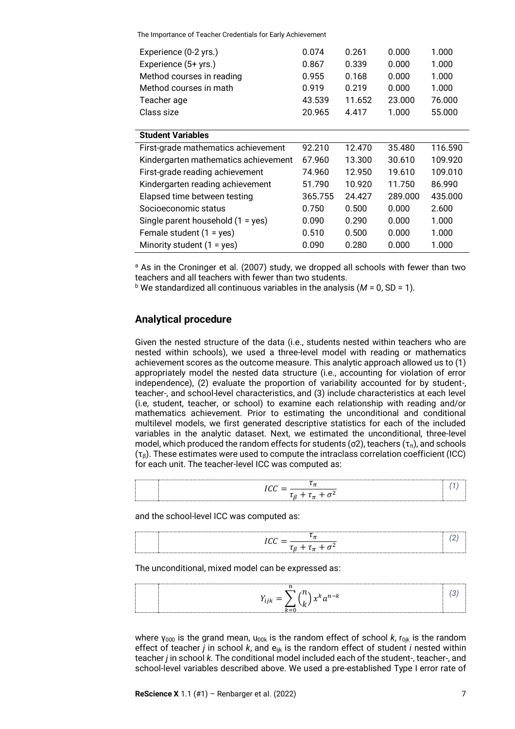| Experience (0-2 yrs.)                | 0.074   | 0.261  | 0.000   | 1.000   |
|--------------------------------------|---------|--------|---------|---------|
| Experience (5+ yrs.)                 | 0.867   | 0.339  | 0.000   | 1.000   |
| Method courses in reading            | 0.955   | 0.168  | 0.000   | 1.000   |
| Method courses in math               | 0.919   | 0.219  | 0.000   | 1.000   |
| Teacher age                          | 43.539  | 11.652 | 23,000  | 76.000  |
| Class size                           | 20.965  | 4.417  | 1.000   | 55.000  |
|                                      |         |        |         |         |
| <b>Student Variables</b>             |         |        |         |         |
| First-grade mathematics achievement  | 92.210  | 12.470 | 35.480  | 116.590 |
| Kindergarten mathematics achievement | 67.960  | 13.300 | 30.610  | 109.920 |
| First-grade reading achievement      | 74.960  | 12.950 | 19.610  | 109.010 |
| Kindergarten reading achievement     | 51.790  | 10.920 | 11.750  | 86.990  |
| Elapsed time between testing         | 365.755 | 24.427 | 289,000 | 435.000 |
| Socioeconomic status                 | 0.750   | 0.500  | 0.000   | 2.600   |
| Single parent household (1 = yes)    | 0.090   | 0.290  | 0.000   | 1.000   |
| Female student $(1 = yes)$           | 0.510   | 0.500  | 0.000   | 1.000   |
| Minority student $(1 = yes)$         | 0.090   | 0.280  | 0.000   | 1.000   |

<sup>a</sup> As in the Croninger et al. (2007) study, we dropped all schools with fewer than two teachers and all teachers with fewer than two students.

 $b$  We standardized all continuous variables in the analysis ( $M = 0$ , SD = 1).

### **Analytical procedure**

Given the nested structure of the data (i.e., students nested within teachers who are nested within schools), we used a three-level model with reading or mathematics achievement scores as the outcome measure. This analytic approach allowed us to (1) appropriately model the nested data structure (i.e., accounting for violation of error independence), (2) evaluate the proportion of variability accounted for by student-, teacher-, and school-level characteristics, and (3) include characteristics at each level (i.e, student, teacher, or school) to examine each relationship with reading and/or mathematics achievement. Prior to estimating the unconditional and conditional multilevel models, we first generated descriptive statistics for each of the included variables in the analytic dataset. Next, we estimated the unconditional, three-level model, which produced the random effects for students ( $\sigma$ 2), teachers ( $\tau$ <sub>π</sub>), and schools  $(\tau_6)$ . These estimates were used to compute the intraclass correlation coefficient (ICC) for each unit. The teacher-level ICC was computed as:

and the school-level ICC was computed as:

The unconditional, mixed model can be expressed as:



where  $\gamma_{000}$  is the grand mean,  $u_{00k}$  is the random effect of school  $k$ , r<sub>0jk</sub> is the random effect of teacher *j* in school *k*, and  $e_{ijk}$  is the random effect of student *i* nested within teacher *j* in school *k*. The conditional model included each of the student-, teacher-, and school-level variables described above. We used a pre-established Type I error rate of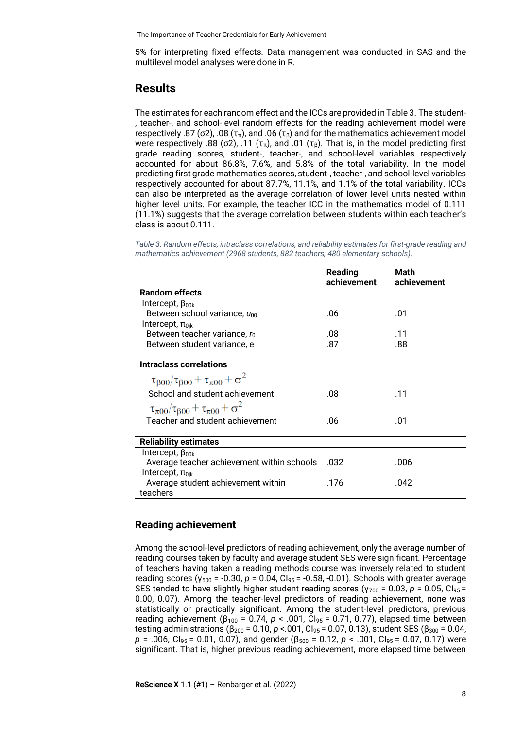5% for interpreting fixed effects. Data management was conducted in SAS and the multilevel model analyses were done in R.

# **Results**

The estimates for each random effect and the ICCs are provided in Table 3. The student- , teacher-, and school-level random effects for the reading achievement model were respectively .87 (σ2), .08 (τ<sub>π</sub>), and .06 (τ<sub>β</sub>) and for the mathematics achievement model were respectively .88 (σ2), .11 (τ<sub>π</sub>), and .01 (τ<sub>β</sub>). That is, in the model predicting first grade reading scores, student-, teacher-, and school-level variables respectively accounted for about 86.8%, 7.6%, and 5.8% of the total variability. In the model predicting first grade mathematics scores, student-, teacher-, and school-level variables respectively accounted for about 87.7%, 11.1%, and 1.1% of the total variability. ICCs can also be interpreted as the average correlation of lower level units nested within higher level units. For example, the teacher ICC in the mathematics model of 0.111 (11.1%) suggests that the average correlation between students within each teacher's class is about 0.111.

*Table 3. Random effects, intraclass correlations, and reliability estimates for first-grade reading and mathematics achievement (2968 students, 882 teachers, 480 elementary schools).*

|                                                              | <b>Reading</b><br>achievement | Math<br>achievement |
|--------------------------------------------------------------|-------------------------------|---------------------|
| <b>Random effects</b>                                        |                               |                     |
| Intercept, $\beta_{00k}$                                     |                               |                     |
| Between school variance, $u_{00}$                            | .06                           | .01                 |
| Intercept, $\pi_{0ik}$                                       |                               |                     |
| Between teacher variance, $r_0$                              | .08                           | .11                 |
| Between student variance, e                                  | .87                           | .88                 |
|                                                              |                               |                     |
| <b>Intraclass correlations</b>                               |                               |                     |
| $\tau_{\beta 00}/\tau_{\beta 00} + \tau_{\pi 00} + \sigma^2$ |                               |                     |
| School and student achievement                               | .08                           | .11                 |
| $\tau_{\pi 00}/\tau_{\beta 00} + \tau_{\pi 00} + \sigma^2$   |                               |                     |
| Teacher and student achievement                              | .06                           | .01                 |
|                                                              |                               |                     |
| <b>Reliability estimates</b>                                 |                               |                     |
| Intercept, $\beta_{00k}$                                     |                               |                     |
| Average teacher achievement within schools                   | .032                          | .006                |
| Intercept, $\pi_{0ik}$                                       |                               |                     |
| Average student achievement within                           | .176                          | .042                |
| teachers                                                     |                               |                     |

# **Reading achievement**

Among the school-level predictors of reading achievement, only the average number of reading courses taken by faculty and average student SES were significant. Percentage of teachers having taken a reading methods course was inversely related to student reading scores (γ<sup>500</sup> = -0.30, *p* = 0.04, CI95 = -0.58, -0.01). Schools with greater average SES tended to have slightly higher student reading scores ( $\gamma_{700}$  = 0.03,  $p = 0.05$ , Cl<sub>95</sub> = 0.00, 0.07). Among the teacher-level predictors of reading achievement, none was statistically or practically significant. Among the student-level predictors, previous reading achievement ( $β<sub>100</sub> = 0.74$ ,  $p < .001$ , Cl<sub>95</sub> = 0.71, 0.77), elapsed time between testing administrations (β<sup>200</sup> = 0.10, *p* <.001, CI95 = 0.07, 0.13), student SES (β<sup>300</sup> = 0.04,  $p = .006$ , Cl<sub>95</sub> = 0.01, 0.07), and gender ( $\beta_{500}$  = 0.12,  $p < .001$ , Cl<sub>95</sub> = 0.07, 0.17) were significant. That is, higher previous reading achievement, more elapsed time between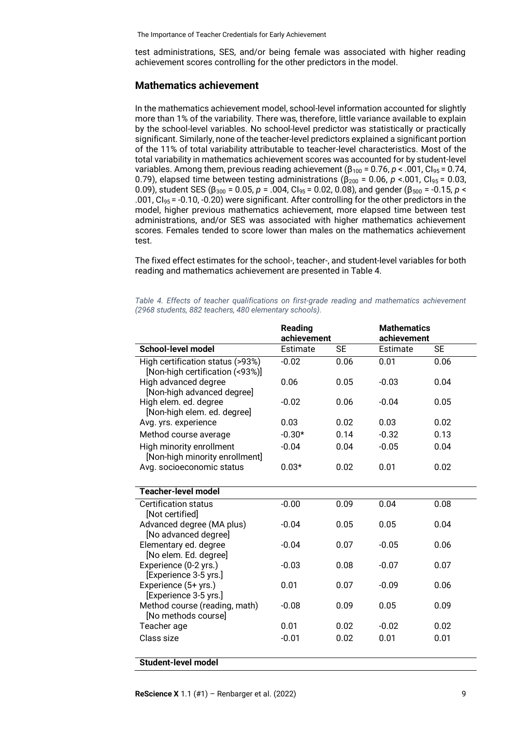test administrations, SES, and/or being female was associated with higher reading achievement scores controlling for the other predictors in the model.

#### **Mathematics achievement**

In the mathematics achievement model, school-level information accounted for slightly more than 1% of the variability. There was, therefore, little variance available to explain by the school-level variables. No school-level predictor was statistically or practically significant. Similarly, none of the teacher-level predictors explained a significant portion of the 11% of total variability attributable to teacher-level characteristics. Most of the total variability in mathematics achievement scores was accounted for by student-level variables. Among them, previous reading achievement (β<sup>100</sup> = 0.76, *p* < .001, CI95 = 0.74, 0.79), elapsed time between testing administrations ( $β<sub>200</sub> = 0.06$ ,  $p < .001$ , Cl<sub>95</sub> = 0.03, 0.09), student SES (β<sup>300</sup> = 0.05, *p* = .004, CI95 = 0.02, 0.08), and gender (β<sup>500</sup> = -0.15, *p* < .001,  $CI_{95}$  = -0.10, -0.20) were significant. After controlling for the other predictors in the model, higher previous mathematics achievement, more elapsed time between test administrations, and/or SES was associated with higher mathematics achievement scores. Females tended to score lower than males on the mathematics achievement test.

The fixed effect estimates for the school-, teacher-, and student-level variables for both reading and mathematics achievement are presented in Table 4.

*Table 4. Effects of teacher qualifications on first-grade reading and mathematics achievement (2968 students, 882 teachers, 480 elementary schools).*

|                                                                     | <b>Reading</b><br>achievement |           | <b>Mathematics</b><br>achievement |           |
|---------------------------------------------------------------------|-------------------------------|-----------|-----------------------------------|-----------|
| <b>School-level model</b>                                           | Estimate                      | <b>SE</b> | Estimate                          | <b>SE</b> |
| High certification status (>93%)<br>[Non-high certification (<93%)] | $-0.02$                       | 0.06      | $0.\overline{01}$                 | 0.06      |
| High advanced degree<br>[Non-high advanced degree]                  | 0.06                          | 0.05      | $-0.03$                           | 0.04      |
| High elem. ed. degree<br>[Non-high elem. ed. degree]                | $-0.02$                       | 0.06      | $-0.04$                           | 0.05      |
| Avg. yrs. experience                                                | 0.03                          | 0.02      | 0.03                              | 0.02      |
| Method course average                                               | $-0.30*$                      | 0.14      | $-0.32$                           | 0.13      |
| High minority enrollment<br>[Non-high minority enrollment]          | $-0.04$                       | 0.04      | $-0.05$                           | 0.04      |
| Avg. socioeconomic status                                           | $0.03*$                       | 0.02      | 0.01                              | 0.02      |
| <b>Teacher-level model</b>                                          |                               |           |                                   |           |
| <b>Certification status</b><br>[Not certified]                      | $-0.00$                       | 0.09      | 0.04                              | 0.08      |
| Advanced degree (MA plus)<br>[No advanced degree]                   | $-0.04$                       | 0.05      | 0.05                              | 0.04      |
| Elementary ed. degree<br>[No elem. Ed. degree]                      | $-0.04$                       | 0.07      | $-0.05$                           | 0.06      |
| Experience (0-2 yrs.)<br>[Experience 3-5 yrs.]                      | $-0.03$                       | 0.08      | $-0.07$                           | 0.07      |
| Experience (5+ yrs.)<br>[Experience 3-5 yrs.]                       | 0.01                          | 0.07      | $-0.09$                           | 0.06      |
| Method course (reading, math)<br>[No methods course]                | $-0.08$                       | 0.09      | 0.05                              | 0.09      |
| Teacher age                                                         | 0.01                          | 0.02      | $-0.02$                           | 0.02      |
| Class size                                                          | $-0.01$                       | 0.02      | 0.01                              | 0.01      |
| <b>Student-level model</b>                                          |                               |           |                                   |           |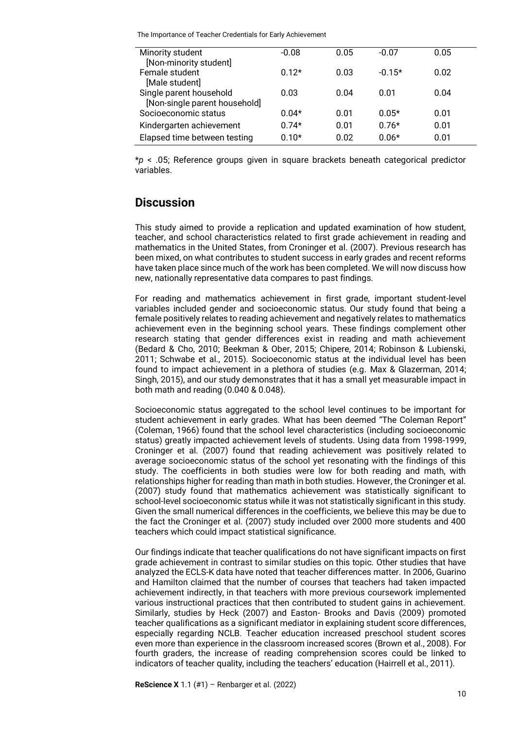| Minority student                                         | $-0.08$ | 0.05 | $-0.07$  | 0.05 |
|----------------------------------------------------------|---------|------|----------|------|
| [Non-minority student]<br>Female student                 | $0.12*$ | 0.03 | $-0.15*$ | 0.02 |
| [Male student]                                           |         |      |          |      |
| Single parent household<br>[Non-single parent household] | 0.03    | 0.04 | 0.01     | 0.04 |
| Socioeconomic status                                     | $0.04*$ | 0.01 | $0.05*$  | 0.01 |
| Kindergarten achievement                                 | $0.74*$ | 0.01 | $0.76*$  | 0.01 |
| Elapsed time between testing                             | $0.10*$ | 0.02 | $0.06*$  | 0.01 |

\**p* < .05; Reference groups given in square brackets beneath categorical predictor variables.

# **Discussion**

This study aimed to provide a replication and updated examination of how student, teacher, and school characteristics related to first grade achievement in reading and mathematics in the United States, from Croninger et al. (2007). Previous research has been mixed, on what contributes to student success in early grades and recent reforms have taken place since much of the work has been completed. We will now discuss how new, nationally representative data compares to past findings.

For reading and mathematics achievement in first grade, important student-level variables included gender and socioeconomic status. Our study found that being a female positively relates to reading achievement and negatively relates to mathematics achievement even in the beginning school years. These findings complement other research stating that gender differences exist in reading and math achievement (Bedard & Cho, 2010; Beekman & Ober, 2015; Chipere, 2014; Robinson & Lubienski, 2011; Schwabe et al., 2015). Socioeconomic status at the individual level has been found to impact achievement in a plethora of studies (e.g. Max & Glazerman, 2014; Singh, 2015), and our study demonstrates that it has a small yet measurable impact in both math and reading (0.040 & 0.048).

Socioeconomic status aggregated to the school level continues to be important for student achievement in early grades. What has been deemed "The Coleman Report" (Coleman, 1966) found that the school level characteristics (including socioeconomic status) greatly impacted achievement levels of students. Using data from 1998-1999, Croninger et al. (2007) found that reading achievement was positively related to average socioeconomic status of the school yet resonating with the findings of this study. The coefficients in both studies were low for both reading and math, with relationships higher for reading than math in both studies. However, the Croninger et al. (2007) study found that mathematics achievement was statistically significant to school-level socioeconomic status while it was not statistically significant in this study. Given the small numerical differences in the coefficients, we believe this may be due to the fact the Croninger et al. (2007) study included over 2000 more students and 400 teachers which could impact statistical significance.

Our findings indicate that teacher qualifications do not have significant impacts on first grade achievement in contrast to similar studies on this topic. Other studies that have analyzed the ECLS-K data have noted that teacher differences matter. In 2006, Guarino and Hamilton claimed that the number of courses that teachers had taken impacted achievement indirectly, in that teachers with more previous coursework implemented various instructional practices that then contributed to student gains in achievement. Similarly, studies by Heck (2007) and Easton- Brooks and Davis (2009) promoted teacher qualifications as a significant mediator in explaining student score differences, especially regarding NCLB. Teacher education increased preschool student scores even more than experience in the classroom increased scores (Brown et al., 2008). For fourth graders, the increase of reading comprehension scores could be linked to indicators of teacher quality, including the teachers' education (Hairrell et al., 2011).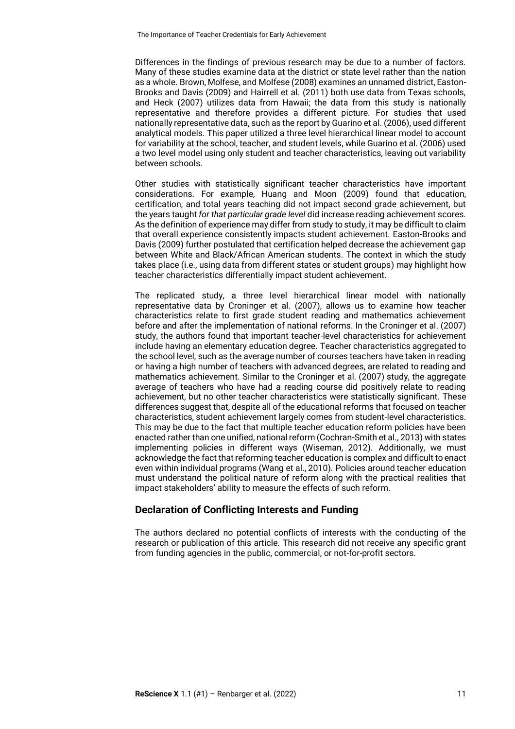Differences in the findings of previous research may be due to a number of factors. Many of these studies examine data at the district or state level rather than the nation as a whole. Brown, Molfese, and Molfese (2008) examines an unnamed district, Easton-Brooks and Davis (2009) and Hairrell et al. (2011) both use data from Texas schools, and Heck (2007) utilizes data from Hawaii; the data from this study is nationally representative and therefore provides a different picture. For studies that used nationally representative data, such as the report by Guarino et al. (2006), used different analytical models. This paper utilized a three level hierarchical linear model to account for variability at the school, teacher, and student levels, while Guarino et al. (2006) used a two level model using only student and teacher characteristics, leaving out variability between schools.

Other studies with statistically significant teacher characteristics have important considerations. For example, Huang and Moon (2009) found that education, certification, and total years teaching did not impact second grade achievement, but the years taught *for that particular grade level* did increase reading achievement scores. As the definition of experience may differ from study to study, it may be difficult to claim that overall experience consistently impacts student achievement. Easton-Brooks and Davis (2009) further postulated that certification helped decrease the achievement gap between White and Black/African American students. The context in which the study takes place (i.e., using data from different states or student groups) may highlight how teacher characteristics differentially impact student achievement.

The replicated study, a three level hierarchical linear model with nationally representative data by Croninger et al. (2007), allows us to examine how teacher characteristics relate to first grade student reading and mathematics achievement before and after the implementation of national reforms. In the Croninger et al. (2007) study, the authors found that important teacher-level characteristics for achievement include having an elementary education degree. Teacher characteristics aggregated to the school level, such as the average number of courses teachers have taken in reading or having a high number of teachers with advanced degrees, are related to reading and mathematics achievement. Similar to the Croninger et al. (2007) study, the aggregate average of teachers who have had a reading course did positively relate to reading achievement, but no other teacher characteristics were statistically significant. These differences suggest that, despite all of the educational reforms that focused on teacher characteristics, student achievement largely comes from student-level characteristics. This may be due to the fact that multiple teacher education reform policies have been enacted rather than one unified, national reform (Cochran-Smith et al., 2013) with states implementing policies in different ways (Wiseman, 2012). Additionally, we must acknowledge the fact that reforming teacher education is complex and difficult to enact even within individual programs (Wang et al., 2010). Policies around teacher education must understand the political nature of reform along with the practical realities that impact stakeholders' ability to measure the effects of such reform.

# **Declaration of Conflicting Interests and Funding**

The authors declared no potential conflicts of interests with the conducting of the research or publication of this article. This research did not receive any specific grant from funding agencies in the public, commercial, or not-for-profit sectors.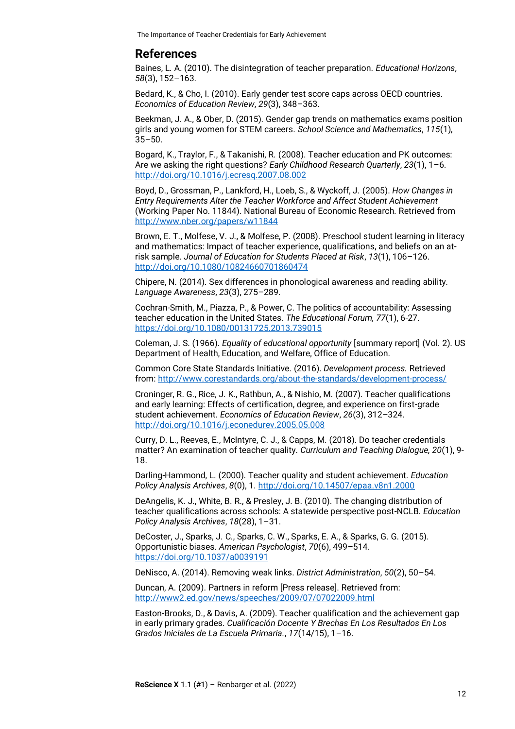# **References**

Baines, L. A. (2010). The disintegration of teacher preparation. *Educational Horizons*, *58*(3), 152–163.

Bedard, K., & Cho, I. (2010). Early gender test score caps across OECD countries. *Economics of Education Review*, *29*(3), 348–363.

Beekman, J. A., & Ober, D. (2015). Gender gap trends on mathematics exams position girls and young women for STEM careers. *School Science and Mathematics*, *115*(1),  $35 - 50$ .

Bogard, K., Traylor, F., & Takanishi, R. (2008). Teacher education and PK outcomes: Are we asking the right questions? *Early Childhood Research Quarterly*, *23*(1), 1–6. <http://doi.org/10.1016/j.ecresq.2007.08.002>

Boyd, D., Grossman, P., Lankford, H., Loeb, S., & Wyckoff, J. (2005). *How Changes in Entry Requirements Alter the Teacher Workforce and Affect Student Achievement* (Working Paper No. 11844). National Bureau of Economic Research. Retrieved from <http://www.nber.org/papers/w11844>

Brown, E. T., Molfese, V. J., & Molfese, P. (2008). Preschool student learning in literacy and mathematics: Impact of teacher experience, qualifications, and beliefs on an atrisk sample. *Journal of Education for Students Placed at Risk*, *13*(1), 106–126. <http://doi.org/10.1080/10824660701860474>

Chipere, N. (2014). Sex differences in phonological awareness and reading ability. *Language Awareness*, *23*(3), 275–289.

Cochran-Smith, M., Piazza, P., & Power, C. The politics of accountability: Assessing teacher education in the United States. *The Educational Forum, 77*(1), 6-27. <https://doi.org/10.1080/00131725.2013.739015>

Coleman, J. S. (1966). *Equality of educational opportunity* [summary report] (Vol. 2). US Department of Health, Education, and Welfare, Office of Education.

Common Core State Standards Initiative. (2016). *Development process.* Retrieved from:<http://www.corestandards.org/about-the-standards/development-process/>

Croninger, R. G., Rice, J. K., Rathbun, A., & Nishio, M. (2007). Teacher qualifications and early learning: Effects of certification, degree, and experience on first-grade student achievement. *Economics of Education Review*, *26*(3), 312–324. <http://doi.org/10.1016/j.econedurev.2005.05.008>

Curry, D. L., Reeves, E., McIntyre, C. J., & Capps, M. (2018). Do teacher credentials matter? An examination of teacher quality. *Curriculum and Teaching Dialogue, 20*(1), 9- 18.

Darling-Hammond, L. (2000). Teacher quality and student achievement. *Education Policy Analysis Archives*, *8*(0), 1. <http://doi.org/10.14507/epaa.v8n1.2000>

DeAngelis, K. J., White, B. R., & Presley, J. B. (2010). The changing distribution of teacher qualifications across schools: A statewide perspective post-NCLB. *Education Policy Analysis Archives*, *18*(28), 1–31.

DeCoster, J., Sparks, J. C., Sparks, C. W., Sparks, E. A., & Sparks, G. G. (2015). Opportunistic biases. *American Psychologist*, *70*(6), 499–514. <https://doi.org/10.1037/a0039191>

DeNisco, A. (2014). Removing weak links. *District Administration*, *50*(2), 50–54.

Duncan, A. (2009). Partners in reform [Press release]. Retrieved from: <http://www2.ed.gov/news/speeches/2009/07/07022009.html>

Easton-Brooks, D., & Davis, A. (2009). Teacher qualification and the achievement gap in early primary grades. *Cualificación Docente Y Brechas En Los Resultados En Los Grados Iniciales de La Escuela Primaria.*, *17*(14/15), 1–16.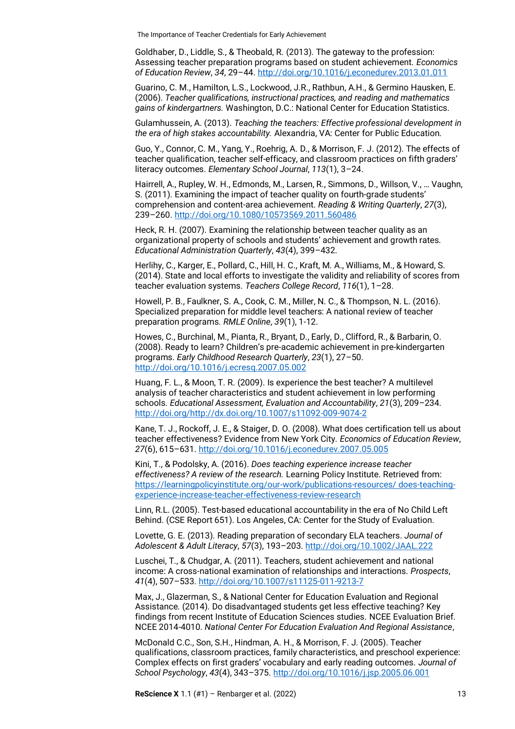Goldhaber, D., Liddle, S., & Theobald, R. (2013). The gateway to the profession: Assessing teacher preparation programs based on student achievement. *Economics of Education Review*, *34*, 29–44. <http://doi.org/10.1016/j.econedurev.2013.01.011>

Guarino, C. M., Hamilton, L.S., Lockwood, J.R., Rathbun, A.H., & Germino Hausken, E. (2006). *Teacher qualifications, instructional practices, and reading and mathematics gains of kindergartners.* Washington, D.C.: National Center for Education Statistics.

Gulamhussein, A. (2013). *Teaching the teachers: Effective professional development in the era of high stakes accountability.* Alexandria, VA: Center for Public Education.

Guo, Y., Connor, C. M., Yang, Y., Roehrig, A. D., & Morrison, F. J. (2012). The effects of teacher qualification, teacher self-efficacy, and classroom practices on fifth graders' literacy outcomes. *Elementary School Journal*, *113*(1), 3–24.

Hairrell, A., Rupley, W. H., Edmonds, M., Larsen, R., Simmons, D., Willson, V., … Vaughn, S. (2011). Examining the impact of teacher quality on fourth-grade students' comprehension and content-area achievement. *Reading & Writing Quarterly*, *27*(3), 239–260. <http://doi.org/10.1080/10573569.2011.560486>

Heck, R. H. (2007). Examining the relationship between teacher quality as an organizational property of schools and students' achievement and growth rates. *Educational Administration Quarterly*, *43*(4), 399–432.

Herlihy, C., Karger, E., Pollard, C., Hill, H. C., Kraft, M. A., Williams, M., & Howard, S. (2014). State and local efforts to investigate the validity and reliability of scores from teacher evaluation systems. *Teachers College Record*, *116*(1), 1–28.

Howell, P. B., Faulkner, S. A., Cook, C. M., Miller, N. C., & Thompson, N. L. (2016). Specialized preparation for middle level teachers: A national review of teacher preparation programs. *RMLE Online*, *39*(1), 1-12.

Howes, C., Burchinal, M., Pianta, R., Bryant, D., Early, D., Clifford, R., & Barbarin, O. (2008). Ready to learn? Children's pre-academic achievement in pre-kindergarten programs. *Early Childhood Research Quarterly*, *23*(1), 27–50. <http://doi.org/10.1016/j.ecresq.2007.05.002>

Huang, F. L., & Moon, T. R. (2009). Is experience the best teacher? A multilevel analysis of teacher characteristics and student achievement in low performing schools. *Educational Assessment, Evaluation and Accountability*, *21*(3), 209–234. [http://doi.org/http://dx.doi.org/10.1007/s11092-009-9074-2](http://doi.org/http:/dx.doi.org/10.1007/s11092-009-9074-2)

Kane, T. J., Rockoff, J. E., & Staiger, D. O. (2008). What does certification tell us about teacher effectiveness? Evidence from New York City. *Economics of Education Review*, *27*(6), 615–631. <http://doi.org/10.1016/j.econedurev.2007.05.005>

Kini, T., & Podolsky, A. (2016). *Does teaching experience increase teacher effectiveness? A review of the research.* Learning Policy Institute. Retrieved from: [https://learningpolicyinstitute.org/our-work/publications-resources/ does-teaching](https://learningpolicyinstitute.org/our-work/publications-resources/%20does-teaching-experience-increase-teacher-effectiveness-review-research)[experience-increase-teacher-effectiveness-review-research](https://learningpolicyinstitute.org/our-work/publications-resources/%20does-teaching-experience-increase-teacher-effectiveness-review-research)

Linn, R.L. (2005). Test-based educational accountability in the era of No Child Left Behind. (CSE Report 651). Los Angeles, CA: Center for the Study of Evaluation.

Lovette, G. E. (2013). Reading preparation of secondary ELA teachers. *Journal of Adolescent & Adult Literacy*, *57*(3), 193–203. <http://doi.org/10.1002/JAAL.222>

Luschei, T., & Chudgar, A. (2011). Teachers, student achievement and national income: A cross-national examination of relationships and interactions. *Prospects*, *41*(4), 507–533. <http://doi.org/10.1007/s11125-011-9213-7>

Max, J., Glazerman, S., & National Center for Education Evaluation and Regional Assistance. (2014). Do disadvantaged students get less effective teaching? Key findings from recent Institute of Education Sciences studies. NCEE Evaluation Brief. NCEE 2014-4010. *National Center For Education Evaluation And Regional Assistance*,

McDonald C.C., Son, S.H., Hindman, A. H., & Morrison, F. J. (2005). Teacher qualifications, classroom practices, family characteristics, and preschool experience: Complex effects on first graders' vocabulary and early reading outcomes. *Journal of School Psychology*, *43*(4), 343–375. <http://doi.org/10.1016/j.jsp.2005.06.001>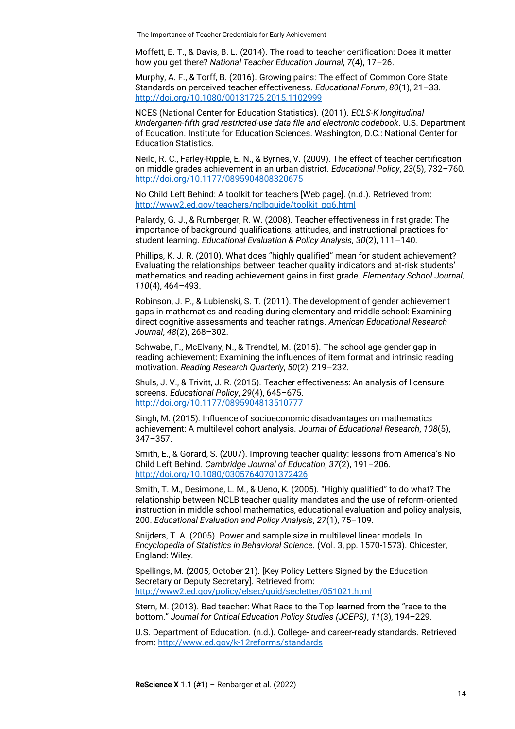Moffett, E. T., & Davis, B. L. (2014). The road to teacher certification: Does it matter how you get there? *National Teacher Education Journal*, *7*(4), 17–26.

Murphy, A. F., & Torff, B. (2016). Growing pains: The effect of Common Core State Standards on perceived teacher effectiveness. *Educational Forum*, *80*(1), 21–33. <http://doi.org/10.1080/00131725.2015.1102999>

NCES (National Center for Education Statistics). (2011). *ECLS-K longitudinal kindergarten-fifth grad restricted-use data file and electronic codebook*. U.S. Department of Education. Institute for Education Sciences. Washington, D.C.: National Center for Education Statistics.

Neild, R. C., Farley-Ripple, E. N., & Byrnes, V. (2009). The effect of teacher certification on middle grades achievement in an urban district. *Educational Policy*, *23*(5), 732–760. <http://doi.org/10.1177/0895904808320675>

No Child Left Behind: A toolkit for teachers [Web page]. (n.d.). Retrieved from: [http://www2.ed.gov/teachers/nclbguide/toolkit\\_pg6.html](http://www2.ed.gov/teachers/nclbguide/toolkit_pg6.html)

Palardy, G. J., & Rumberger, R. W. (2008). Teacher effectiveness in first grade: The importance of background qualifications, attitudes, and instructional practices for student learning. *Educational Evaluation & Policy Analysis*, *30*(2), 111–140.

Phillips, K. J. R. (2010). What does "highly qualified" mean for student achievement? Evaluating the relationships between teacher quality indicators and at-risk students' mathematics and reading achievement gains in first grade. *Elementary School Journal*, *110*(4), 464–493.

Robinson, J. P., & Lubienski, S. T. (2011). The development of gender achievement gaps in mathematics and reading during elementary and middle school: Examining direct cognitive assessments and teacher ratings. *American Educational Research Journal*, *48*(2), 268–302.

Schwabe, F., McElvany, N., & Trendtel, M. (2015). The school age gender gap in reading achievement: Examining the influences of item format and intrinsic reading motivation. *Reading Research Quarterly*, *50*(2), 219–232.

Shuls, J. V., & Trivitt, J. R. (2015). Teacher effectiveness: An analysis of licensure screens. *Educational Policy*, *29*(4), 645–675. <http://doi.org/10.1177/0895904813510777>

Singh, M. (2015). Influence of socioeconomic disadvantages on mathematics achievement: A multilevel cohort analysis. *Journal of Educational Research*, *108*(5), 347–357.

Smith, E., & Gorard, S. (2007). Improving teacher quality: lessons from America's No Child Left Behind. *Cambridge Journal of Education*, *37*(2), 191–206. <http://doi.org/10.1080/03057640701372426>

Smith, T. M., Desimone, L. M., & Ueno, K. (2005). "Highly qualified" to do what? The relationship between NCLB teacher quality mandates and the use of reform-oriented instruction in middle school mathematics, educational evaluation and policy analysis, 200. *Educational Evaluation and Policy Analysis*, *27*(1), 75–109.

Snijders, T. A. (2005). Power and sample size in multilevel linear models. In *Encyclopedia of Statistics in Behavioral Science.* (Vol. 3, pp. 1570-1573). Chicester, England: Wiley.

Spellings, M. (2005, October 21). [Key Policy Letters Signed by the Education Secretary or Deputy Secretary]. Retrieved from: <http://www2.ed.gov/policy/elsec/guid/secletter/051021.html>

Stern, M. (2013). Bad teacher: What Race to the Top learned from the "race to the bottom." *Journal for Critical Education Policy Studies (JCEPS)*, *11*(3), 194–229.

U.S. Department of Education. (n.d.). College- and career-ready standards. Retrieved from:<http://www.ed.gov/k-12reforms/standards>